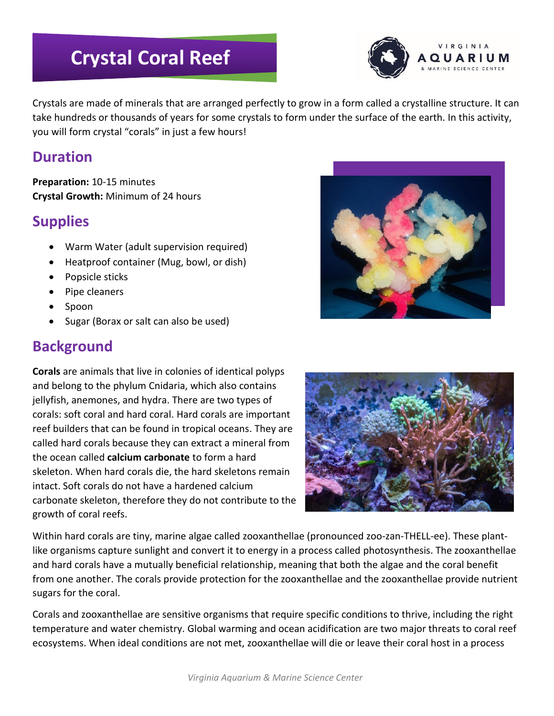# **Crystal Coral Reef**



Crystals are made of minerals that are arranged perfectly to grow in a form called a crystalline structure. It can take hundreds or thousands of years for some crystals to form under the surface of the earth. In this activity, you will form crystal "corals" in just a few hours!

#### **Duration**

**Preparation:** 10-15 minutes **Crystal Growth:** Minimum of 24 hours

## **Supplies**

- Warm Water (adult supervision required)
- Heatproof container (Mug, bowl, or dish)
- Popsicle sticks
- Pipe cleaners
- Spoon
- Sugar (Borax or salt can also be used)

# **Background**

**Corals** are animals that live in colonies of identical polyps and belong to the phylum Cnidaria, which also contains jellyfish, anemones, and hydra. There are two types of corals: soft coral and hard coral. Hard corals are important reef builders that can be found in tropical oceans. They are called hard corals because they can extract a mineral from the ocean called **calcium carbonate** to form a hard skeleton. When hard corals die, the hard skeletons remain intact. Soft corals do not have a hardened calcium carbonate skeleton, therefore they do not contribute to the growth of coral reefs.



Within hard corals are tiny, marine algae called zooxanthellae (pronounced zoo-zan-THELL-ee). These plantlike organisms capture sunlight and convert it to energy in a process called photosynthesis. The zooxanthellae and hard corals have a mutually beneficial relationship, meaning that both the algae and the coral benefit from one another. The corals provide protection for the zooxanthellae and the zooxanthellae provide nutrient sugars for the coral.

Corals and zooxanthellae are sensitive organisms that require specific conditions to thrive, including the right temperature and water chemistry. Global warming and ocean acidification are two major threats to coral reef ecosystems. When ideal conditions are not met, zooxanthellae will die or leave their coral host in a process

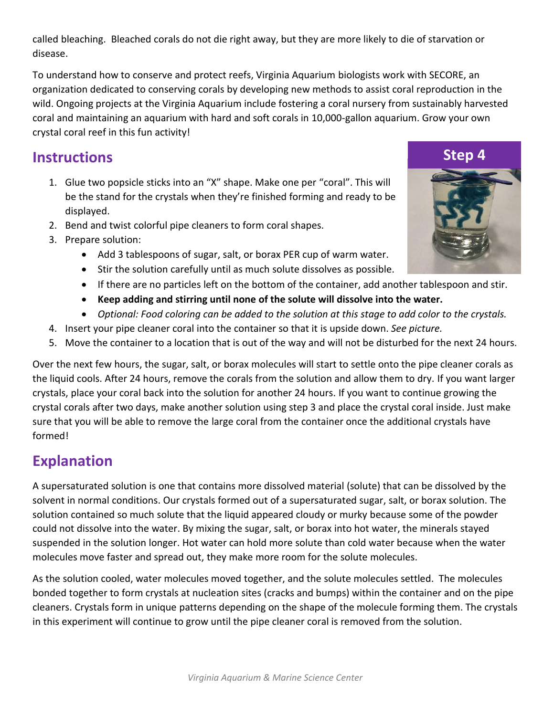called bleaching. Bleached corals do not die right away, but they are more likely to die of starvation or disease.

To understand how to conserve and protect reefs, Virginia Aquarium biologists work with SECORE, an organization dedicated to conserving corals by developing new methods to assist coral reproduction in the wild. Ongoing projects at the Virginia Aquarium include fostering a coral nursery from sustainably harvested coral and maintaining an aquarium with hard and soft corals in 10,000-gallon aquarium. Grow your own crystal coral reef in this fun activity!

# **Instructions**

- 1. Glue two popsicle sticks into an "X" shape. Make one per "coral". This will be the stand for the crystals when they're finished forming and ready to be displayed.
- 2. Bend and twist colorful pipe cleaners to form coral shapes.
- 3. Prepare solution:
	- Add 3 tablespoons of sugar, salt, or borax PER cup of warm water.
	- Stir the solution carefully until as much solute dissolves as possible.
	- If there are no particles left on the bottom of the container, add another tablespoon and stir.
	- **Keep adding and stirring until none of the solute will dissolve into the water.**
	- *Optional: Food coloring can be added to the solution at this stage to add color to the crystals.*
- 4. Insert your pipe cleaner coral into the container so that it is upside down. *See picture.*
- 5. Move the container to a location that is out of the way and will not be disturbed for the next 24 hours.

Over the next few hours, the sugar, salt, or borax molecules will start to settle onto the pipe cleaner corals as the liquid cools. After 24 hours, remove the corals from the solution and allow them to dry. If you want larger crystals, place your coral back into the solution for another 24 hours. If you want to continue growing the crystal corals after two days, make another solution using step 3 and place the crystal coral inside. Just make sure that you will be able to remove the large coral from the container once the additional crystals have formed!

### **Explanation**

A supersaturated solution is one that contains more dissolved material (solute) that can be dissolved by the solvent in normal conditions. Our crystals formed out of a supersaturated sugar, salt, or borax solution. The solution contained so much solute that the liquid appeared cloudy or murky because some of the powder could not dissolve into the water. By mixing the sugar, salt, or borax into hot water, the minerals stayed suspended in the solution longer. Hot water can hold more solute than cold water because when the water molecules move faster and spread out, they make more room for the solute molecules.

As the solution cooled, water molecules moved together, and the solute molecules settled. The molecules bonded together to form crystals at nucleation sites (cracks and bumps) within the container and on the pipe cleaners. Crystals form in unique patterns depending on the shape of the molecule forming them. The crystals in this experiment will continue to grow until the pipe cleaner coral is removed from the solution.